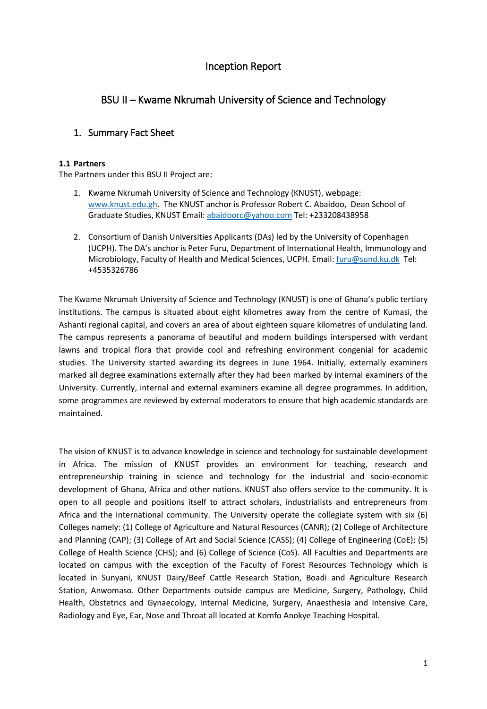# Inception Report

# BSU II – Kwame Nkrumah University of Science and Technology

## 1. Summary Fact Sheet

#### **1.1 Partners**

The Partners under this BSU II Project are:

- 1. Kwame Nkrumah University of Science and Technology (KNUST), webpage: [www.knust.edu.gh.](http://www.knust.edu.gh/) The KNUST anchor is Professor Robert C. Abaidoo, Dean School of Graduate Studies, KNUST Email: [abaidoorc@yahoo.com](mailto:abaidoorc@yahoo.com) Tel: +233208438958
- 2. Consortium of Danish Universities Applicants (DAs) led by the University of Copenhagen (UCPH). The DA's anchor is Peter Furu, Department of International Health, Immunology and Microbiology, Faculty of Health and Medical Sciences, UCPH. Email[: furu@sund.ku.dk](mailto:furu@sund.ku.dk) Tel: +4535326786

The Kwame Nkrumah University of Science and Technology (KNUST) is one of Ghana's public tertiary institutions. The campus is situated about eight kilometres away from the centre of Kumasi, the Ashanti regional capital, and covers an area of about eighteen square kilometres of undulating land. The campus represents a panorama of beautiful and modern buildings interspersed with verdant lawns and tropical flora that provide cool and refreshing environment congenial for academic studies. The University started awarding its degrees in June 1964. Initially, externally examiners marked all degree examinations externally after they had been marked by internal examiners of the University. Currently, internal and external examiners examine all degree programmes. In addition, some programmes are reviewed by external moderators to ensure that high academic standards are maintained.

The vision of KNUST is to advance knowledge in science and technology for sustainable development in Africa. The mission of KNUST provides an environment for teaching, research and entrepreneurship training in science and technology for the industrial and socio-economic development of Ghana, Africa and other nations. KNUST also offers service to the community. It is open to all people and positions itself to attract scholars, industrialists and entrepreneurs from Africa and the international community. The University operate the collegiate system with six (6) Colleges namely: (1) College of Agriculture and Natural Resources (CANR); (2) College of Architecture and Planning (CAP); (3) College of Art and Social Science (CASS); (4) College of Engineering (CoE); (5) College of Health Science (CHS); and (6) College of Science (CoS). All Faculties and Departments are located on campus with the exception of the Faculty of Forest Resources Technology which is located in Sunyani, KNUST Dairy/Beef Cattle Research Station, Boadi and Agriculture Research Station, Anwomaso. Other Departments outside campus are Medicine, Surgery, Pathology, Child Health, Obstetrics and Gynaecology, Internal Medicine, Surgery, Anaesthesia and Intensive Care, Radiology and Eye, Ear, Nose and Throat all located at Komfo Anokye Teaching Hospital.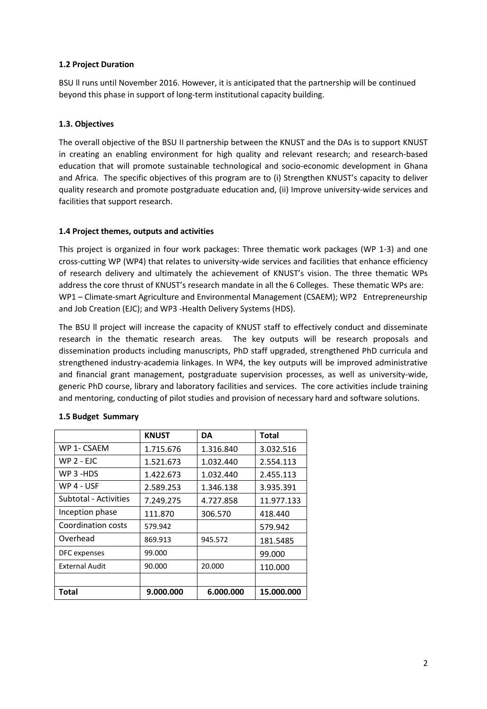#### **1.2 Project Duration**

BSU ll runs until November 2016. However, it is anticipated that the partnership will be continued beyond this phase in support of long-term institutional capacity building.

#### **1.3. Objectives**

The overall objective of the BSU II partnership between the KNUST and the DAs is to support KNUST in creating an enabling environment for high quality and relevant research; and research-based education that will promote sustainable technological and socio-economic development in Ghana and Africa. The specific objectives of this program are to (i) Strengthen KNUST's capacity to deliver quality research and promote postgraduate education and, (ii) Improve university-wide services and facilities that support research.

#### **1.4 Project themes, outputs and activities**

This project is organized in four work packages: Three thematic work packages (WP 1-3) and one cross-cutting WP (WP4) that relates to university-wide services and facilities that enhance efficiency of research delivery and ultimately the achievement of KNUST's vision. The three thematic WPs address the core thrust of KNUST's research mandate in all the 6 Colleges. These thematic WPs are: WP1 – Climate-smart Agriculture and Environmental Management (CSAEM); WP2 Entrepreneurship and Job Creation (EJC); and WP3 -Health Delivery Systems (HDS).

The BSU ll project will increase the capacity of KNUST staff to effectively conduct and disseminate research in the thematic research areas. The key outputs will be research proposals and dissemination products including manuscripts, PhD staff upgraded, strengthened PhD curricula and strengthened industry-academia linkages. In WP4, the key outputs will be improved administrative and financial grant management, postgraduate supervision processes, as well as university-wide, generic PhD course, library and laboratory facilities and services. The core activities include training and mentoring, conducting of pilot studies and provision of necessary hard and software solutions.

|                           | <b>KNUST</b> | <b>DA</b> | <b>Total</b> |
|---------------------------|--------------|-----------|--------------|
| WP 1- CSAEM               | 1.715.676    | 1.316.840 | 3.032.516    |
| $WP$ 2 - EJC              | 1.521.673    | 1.032.440 | 2.554.113    |
| WP 3 -HDS                 | 1.422.673    | 1.032.440 | 2.455.113    |
| WP 4 - USF                | 2.589.253    | 1.346.138 | 3.935.391    |
| Subtotal - Activities     | 7.249.275    | 4.727.858 | 11.977.133   |
| Inception phase           | 111.870      | 306.570   | 418.440      |
| <b>Coordination costs</b> | 579.942      |           | 579.942      |
| Overhead                  | 869.913      | 945.572   | 181.5485     |
| DFC expenses              | 99.000       |           | 99.000       |
| <b>External Audit</b>     | 90.000       | 20.000    | 110.000      |
|                           |              |           |              |
| Total                     | 9.000.000    | 6.000.000 | 15.000.000   |

#### **1.5 Budget Summary**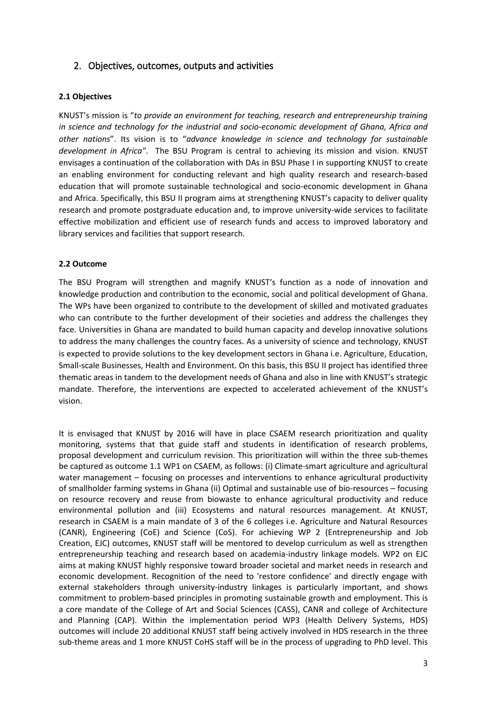## 2. Objectives, outcomes, outputs and activities

#### **2.1 Objectives**

KNUST's mission is "*to provide an environment for teaching, research and entrepreneurship training in science and technology for the industrial and socio-economic development of Ghana, Africa and other nations*". Its vision is to "*advance knowledge in science and technology for sustainable development in Africa"*. The BSU Program is central to achieving its mission and vision. KNUST envisages a continuation of the collaboration with DAs in BSU Phase I in supporting KNUST to create an enabling environment for conducting relevant and high quality research and research-based education that will promote sustainable technological and socio-economic development in Ghana and Africa. Specifically, this BSU II program aims at strengthening KNUST's capacity to deliver quality research and promote postgraduate education and, to improve university-wide services to facilitate effective mobilization and efficient use of research funds and access to improved laboratory and library services and facilities that support research.

#### **2.2 Outcome**

The BSU Program will strengthen and magnify KNUST's function as a node of innovation and knowledge production and contribution to the economic, social and political development of Ghana. The WPs have been organized to contribute to the development of skilled and motivated graduates who can contribute to the further development of their societies and address the challenges they face. Universities in Ghana are mandated to build human capacity and develop innovative solutions to address the many challenges the country faces. As a university of science and technology, KNUST is expected to provide solutions to the key development sectors in Ghana i.e. Agriculture, Education, Small-scale Businesses, Health and Environment. On this basis, this BSU II project has identified three thematic areas in tandem to the development needs of Ghana and also in line with KNUST's strategic mandate. Therefore, the interventions are expected to accelerated achievement of the KNUST's vision.

It is envisaged that KNUST by 2016 will have in place CSAEM research prioritization and quality monitoring, systems that that guide staff and students in identification of research problems, proposal development and curriculum revision. This prioritization will within the three sub-themes be captured as outcome 1.1 WP1 on CSAEM, as follows: (i) Climate-smart agriculture and agricultural water management – focusing on processes and interventions to enhance agricultural productivity of smallholder farming systems in Ghana (ii) Optimal and sustainable use of bio-resources – focusing on resource recovery and reuse from biowaste to enhance agricultural productivity and reduce environmental pollution and (iii) Ecosystems and natural resources management. At KNUST, research in CSAEM is a main mandate of 3 of the 6 colleges i.e. Agriculture and Natural Resources (CANR), Engineering (CoE) and Science (CoS). For achieving WP 2 (Entrepreneurship and Job Creation, EJC) outcomes, KNUST staff will be mentored to develop curriculum as well as strengthen entrepreneurship teaching and research based on academia-industry linkage models. WP2 on EJC aims at making KNUST highly responsive toward broader societal and market needs in research and economic development. Recognition of the need to 'restore confidence' and directly engage with external stakeholders through university-industry linkages is particularly important, and shows commitment to problem-based principles in promoting sustainable growth and employment. This is a core mandate of the College of Art and Social Sciences (CASS), CANR and college of Architecture and Planning (CAP). Within the implementation period WP3 (Health Delivery Systems, HDS) outcomes will include 20 additional KNUST staff being actively involved in HDS research in the three sub-theme areas and 1 more KNUST CoHS staff will be in the process of upgrading to PhD level. This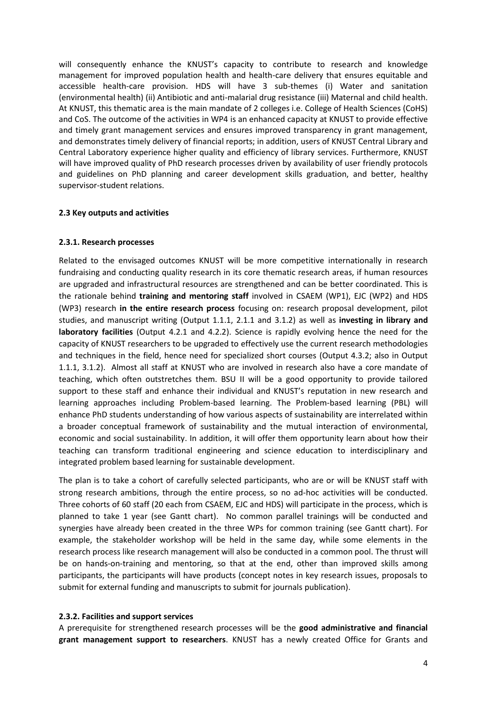will consequently enhance the KNUST's capacity to contribute to research and knowledge management for improved population health and health-care delivery that ensures equitable and accessible health-care provision. HDS will have 3 sub-themes (i) Water and sanitation (environmental health) (ii) Antibiotic and anti-malarial drug resistance (iii) Maternal and child health. At KNUST, this thematic area is the main mandate of 2 colleges i.e. College of Health Sciences (CoHS) and CoS. The outcome of the activities in WP4 is an enhanced capacity at KNUST to provide effective and timely grant management services and ensures improved transparency in grant management, and demonstrates timely delivery of financial reports; in addition, users of KNUST Central Library and Central Laboratory experience higher quality and efficiency of library services. Furthermore, KNUST will have improved quality of PhD research processes driven by availability of user friendly protocols and guidelines on PhD planning and career development skills graduation, and better, healthy supervisor-student relations.

#### **2.3 Key outputs and activities**

#### **2.3.1. Research processes**

Related to the envisaged outcomes KNUST will be more competitive internationally in research fundraising and conducting quality research in its core thematic research areas, if human resources are upgraded and infrastructural resources are strengthened and can be better coordinated. This is the rationale behind **training and mentoring staff** involved in CSAEM (WP1), EJC (WP2) and HDS (WP3) research **in the entire research process** focusing on: research proposal development, pilot studies, and manuscript writing (Output 1.1.1, 2.1.1 and 3.1.2) as well as **investing in library and laboratory facilities** (Output 4.2.1 and 4.2.2). Science is rapidly evolving hence the need for the capacity of KNUST researchers to be upgraded to effectively use the current research methodologies and techniques in the field, hence need for specialized short courses (Output 4.3.2; also in Output 1.1.1, 3.1.2). Almost all staff at KNUST who are involved in research also have a core mandate of teaching, which often outstretches them. BSU II will be a good opportunity to provide tailored support to these staff and enhance their individual and KNUST's reputation in new research and learning approaches including Problem-based learning. The Problem-based learning (PBL) will enhance PhD students understanding of how various aspects of sustainability are interrelated within a broader conceptual framework of sustainability and the mutual interaction of environmental, economic and social sustainability. In addition, it will offer them opportunity learn about how their teaching can transform traditional engineering and science education to interdisciplinary and integrated problem based learning for sustainable development.

The plan is to take a cohort of carefully selected participants, who are or will be KNUST staff with strong research ambitions, through the entire process, so no ad-hoc activities will be conducted. Three cohorts of 60 staff (20 each from CSAEM, EJC and HDS) will participate in the process, which is planned to take 1 year (see Gantt chart). No common parallel trainings will be conducted and synergies have already been created in the three WPs for common training (see Gantt chart). For example, the stakeholder workshop will be held in the same day, while some elements in the research process like research management will also be conducted in a common pool. The thrust will be on hands-on-training and mentoring, so that at the end, other than improved skills among participants, the participants will have products (concept notes in key research issues, proposals to submit for external funding and manuscripts to submit for journals publication).

#### **2.3.2. Facilities and support services**

A prerequisite for strengthened research processes will be the **good administrative and financial grant management support to researchers**. KNUST has a newly created Office for Grants and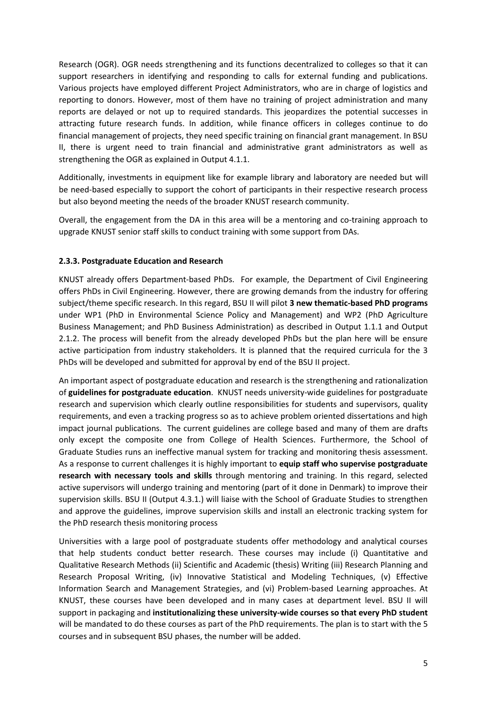Research (OGR). OGR needs strengthening and its functions decentralized to colleges so that it can support researchers in identifying and responding to calls for external funding and publications. Various projects have employed different Project Administrators, who are in charge of logistics and reporting to donors. However, most of them have no training of project administration and many reports are delayed or not up to required standards. This jeopardizes the potential successes in attracting future research funds. In addition, while finance officers in colleges continue to do financial management of projects, they need specific training on financial grant management. In BSU II, there is urgent need to train financial and administrative grant administrators as well as strengthening the OGR as explained in Output 4.1.1.

Additionally, investments in equipment like for example library and laboratory are needed but will be need-based especially to support the cohort of participants in their respective research process but also beyond meeting the needs of the broader KNUST research community.

Overall, the engagement from the DA in this area will be a mentoring and co-training approach to upgrade KNUST senior staff skills to conduct training with some support from DAs.

#### **2.3.3. Postgraduate Education and Research**

KNUST already offers Department-based PhDs. For example, the Department of Civil Engineering offers PhDs in Civil Engineering. However, there are growing demands from the industry for offering subject/theme specific research. In this regard, BSU II will pilot **3 new thematic-based PhD programs** under WP1 (PhD in Environmental Science Policy and Management) and WP2 (PhD Agriculture Business Management; and PhD Business Administration) as described in Output 1.1.1 and Output 2.1.2. The process will benefit from the already developed PhDs but the plan here will be ensure active participation from industry stakeholders. It is planned that the required curricula for the 3 PhDs will be developed and submitted for approval by end of the BSU II project.

An important aspect of postgraduate education and research is the strengthening and rationalization of **guidelines for postgraduate education**. KNUST needs university-wide guidelines for postgraduate research and supervision which clearly outline responsibilities for students and supervisors, quality requirements, and even a tracking progress so as to achieve problem oriented dissertations and high impact journal publications. The current guidelines are college based and many of them are drafts only except the composite one from College of Health Sciences. Furthermore, the School of Graduate Studies runs an ineffective manual system for tracking and monitoring thesis assessment. As a response to current challenges it is highly important to **equip staff who supervise postgraduate research with necessary tools and skills** through mentoring and training. In this regard, selected active supervisors will undergo training and mentoring (part of it done in Denmark) to improve their supervision skills. BSU II (Output 4.3.1.) will liaise with the School of Graduate Studies to strengthen and approve the guidelines, improve supervision skills and install an electronic tracking system for the PhD research thesis monitoring process

Universities with a large pool of postgraduate students offer methodology and analytical courses that help students conduct better research. These courses may include (i) Quantitative and Qualitative Research Methods (ii) Scientific and Academic (thesis) Writing (iii) Research Planning and Research Proposal Writing, (iv) Innovative Statistical and Modeling Techniques, (v) Effective Information Search and Management Strategies, and (vi) Problem-based Learning approaches. At KNUST, these courses have been developed and in many cases at department level. BSU II will support in packaging and **institutionalizing these university-wide courses so that every PhD student** will be mandated to do these courses as part of the PhD requirements. The plan is to start with the 5 courses and in subsequent BSU phases, the number will be added.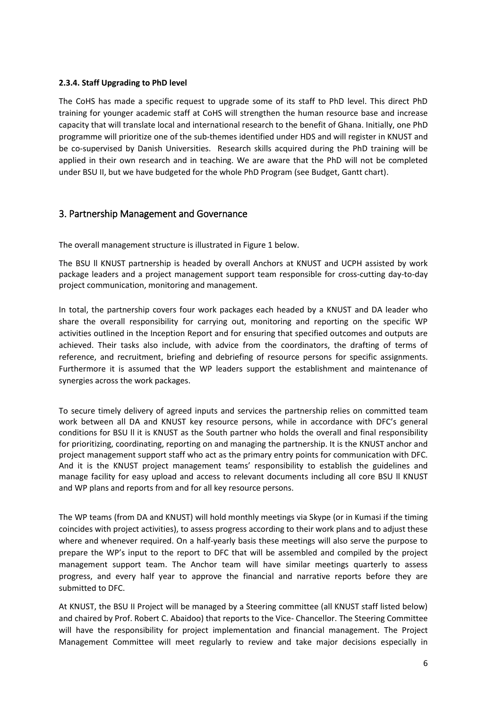#### **2.3.4. Staff Upgrading to PhD level**

The CoHS has made a specific request to upgrade some of its staff to PhD level. This direct PhD training for younger academic staff at CoHS will strengthen the human resource base and increase capacity that will translate local and international research to the benefit of Ghana. Initially, one PhD programme will prioritize one of the sub-themes identified under HDS and will register in KNUST and be co-supervised by Danish Universities. Research skills acquired during the PhD training will be applied in their own research and in teaching. We are aware that the PhD will not be completed under BSU II, but we have budgeted for the whole PhD Program (see Budget, Gantt chart).

## 3. Partnership Management and Governance

The overall management structure is illustrated in Figure 1 below.

The BSU ll KNUST partnership is headed by overall Anchors at KNUST and UCPH assisted by work package leaders and a project management support team responsible for cross-cutting day-to-day project communication, monitoring and management.

In total, the partnership covers four work packages each headed by a KNUST and DA leader who share the overall responsibility for carrying out, monitoring and reporting on the specific WP activities outlined in the Inception Report and for ensuring that specified outcomes and outputs are achieved. Their tasks also include, with advice from the coordinators, the drafting of terms of reference, and recruitment, briefing and debriefing of resource persons for specific assignments. Furthermore it is assumed that the WP leaders support the establishment and maintenance of synergies across the work packages.

To secure timely delivery of agreed inputs and services the partnership relies on committed team work between all DA and KNUST key resource persons, while in accordance with DFC's general conditions for BSU ll it is KNUST as the South partner who holds the overall and final responsibility for prioritizing, coordinating, reporting on and managing the partnership. It is the KNUST anchor and project management support staff who act as the primary entry points for communication with DFC. And it is the KNUST project management teams' responsibility to establish the guidelines and manage facility for easy upload and access to relevant documents including all core BSU ll KNUST and WP plans and reports from and for all key resource persons.

The WP teams (from DA and KNUST) will hold monthly meetings via Skype (or in Kumasi if the timing coincides with project activities), to assess progress according to their work plans and to adjust these where and whenever required. On a half-yearly basis these meetings will also serve the purpose to prepare the WP's input to the report to DFC that will be assembled and compiled by the project management support team. The Anchor team will have similar meetings quarterly to assess progress, and every half year to approve the financial and narrative reports before they are submitted to DFC.

At KNUST, the BSU II Project will be managed by a Steering committee (all KNUST staff listed below) and chaired by Prof. Robert C. Abaidoo) that reports to the Vice- Chancellor. The Steering Committee will have the responsibility for project implementation and financial management. The Project Management Committee will meet regularly to review and take major decisions especially in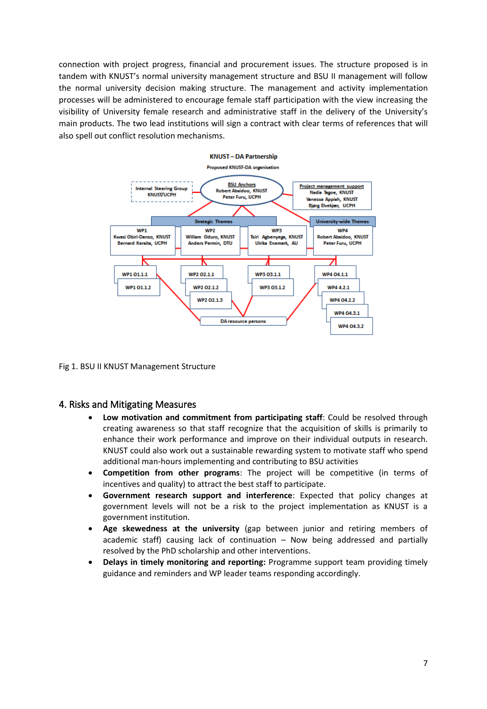connection with project progress, financial and procurement issues. The structure proposed is in tandem with KNUST's normal university management structure and BSU II management will follow the normal university decision making structure. The management and activity implementation processes will be administered to encourage female staff participation with the view increasing the visibility of University female research and administrative staff in the delivery of the University's main products. The two lead institutions will sign a contract with clear terms of references that will also spell out conflict resolution mechanisms.



Fig 1. BSU II KNUST Management Structure

#### 4. Risks and Mitigating Measures

- **Low motivation and commitment from participating staff**: Could be resolved through creating awareness so that staff recognize that the acquisition of skills is primarily to enhance their work performance and improve on their individual outputs in research. KNUST could also work out a sustainable rewarding system to motivate staff who spend additional man-hours implementing and contributing to BSU activities
- **Competition from other programs**: The project will be competitive (in terms of incentives and quality) to attract the best staff to participate.
- **Government research support and interference**: Expected that policy changes at government levels will not be a risk to the project implementation as KNUST is a government institution.
- **Age skewedness at the university** (gap between junior and retiring members of academic staff) causing lack of continuation – Now being addressed and partially resolved by the PhD scholarship and other interventions.
- **Delays in timely monitoring and reporting:** Programme support team providing timely guidance and reminders and WP leader teams responding accordingly.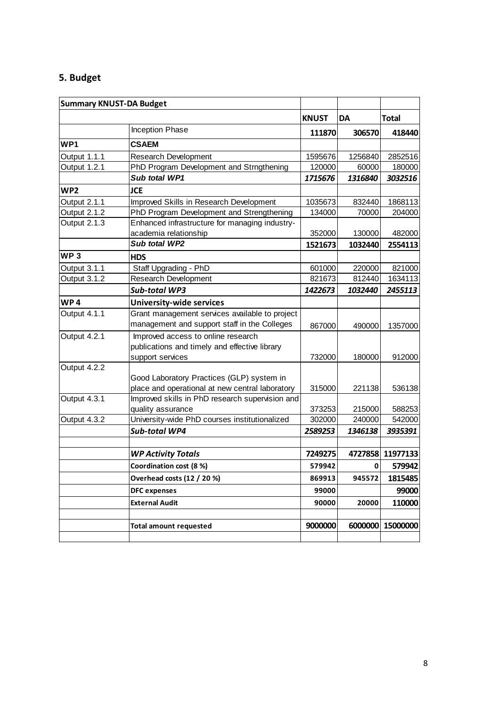# **5. Budget**

| <b>Summary KNUST-DA Budget</b> |                                                 |              |           |                  |
|--------------------------------|-------------------------------------------------|--------------|-----------|------------------|
|                                |                                                 | <b>KNUST</b> | <b>DA</b> | <b>Total</b>     |
|                                | Inception Phase                                 | 111870       | 306570    | 418440           |
| WP1                            | <b>CSAEM</b>                                    |              |           |                  |
| Output 1.1.1                   | <b>Research Development</b>                     | 1595676      | 1256840   | 2852516          |
| Output 1.2.1                   | PhD Program Development and Strngthening        | 120000       | 60000     | 180000           |
|                                | Sub total WP1                                   | 1715676      | 1316840   | 3032516          |
| WP <sub>2</sub>                | <b>JCE</b>                                      |              |           |                  |
| Output 2.1.1                   | Improved Skills in Research Development         | 1035673      | 832440    | 1868113          |
| Output 2.1.2                   | PhD Program Development and Strengthening       | 134000       | 70000     | 204000           |
| Output 2.1.3                   | Enhanced infrastructure for managing industry-  |              |           |                  |
|                                | academia relationship                           | 352000       | 130000    | 482000           |
|                                | Sub total WP2                                   | 1521673      | 1032440   | 2554113          |
| WP <sub>3</sub>                | <b>HDS</b>                                      |              |           |                  |
| Output 3.1.1                   | Staff Upgrading - PhD                           | 601000       | 220000    | 821000           |
| Output 3.1.2                   | Research Development                            | 821673       | 812440    | 1634113          |
|                                | <b>Sub-total WP3</b>                            | 1422673      | 1032440   | 2455113          |
| WP4                            | <b>University-wide services</b>                 |              |           |                  |
| Output 4.1.1                   | Grant management services available to project  |              |           |                  |
|                                | management and support staff in the Colleges    | 867000       | 490000    | 1357000          |
| Output 4.2.1                   | Improved access to online research              |              |           |                  |
|                                | publications and timely and effective library   |              |           |                  |
|                                | support services                                | 732000       | 180000    | 912000           |
| Output 4.2.2                   |                                                 |              |           |                  |
|                                | Good Laboratory Practices (GLP) system in       |              |           |                  |
|                                | place and operational at new central laboratory | 315000       | 221138    | 536138           |
| Output 4.3.1                   | Improved skills in PhD research supervision and |              |           |                  |
|                                | quality assurance                               | 373253       | 215000    | 588253           |
| Output 4.3.2                   | University-wide PhD courses institutionalized   | 302000       | 240000    | 542000           |
|                                | <b>Sub-total WP4</b>                            | 2589253      | 1346138   | 3935391          |
|                                |                                                 |              |           |                  |
|                                | <b>WP Activity Totals</b>                       | 7249275      |           | 4727858 11977133 |
|                                | Coordination cost (8 %)                         | 579942       | 0         | 579942           |
|                                | Overhead costs (12 / 20 %)                      | 869913       | 945572    | 1815485          |
|                                | <b>DFC</b> expenses                             | 99000        |           | 99000            |
|                                | <b>External Audit</b>                           | 90000        | 20000     | 110000           |
|                                |                                                 |              |           |                  |
|                                | <b>Total amount requested</b>                   | 9000000      | 6000000   | 15000000         |
|                                |                                                 |              |           |                  |